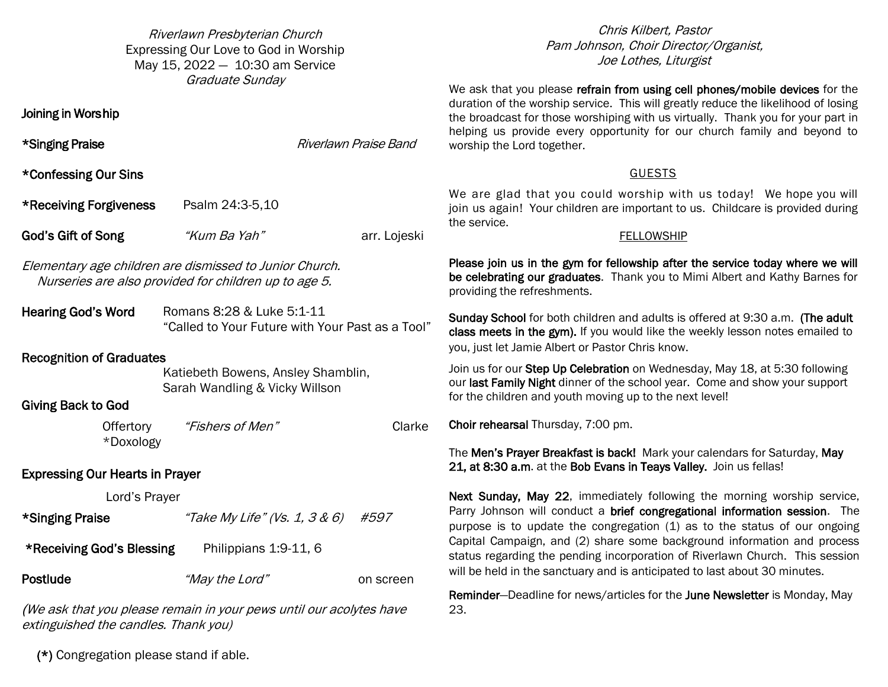Riverlawn Presbyterian Church Expressing Our Love to God in Worship May  $15, 2022 - 10:30$  am Service Graduate Sunday

\*Singing Praise **Riverlawn** Praise Band

God's Gift of Song *"Kum Ba Yah"* arr. Lojeski

"Called to Your Future with Your Past as a Tool"

 Katiebeth Bowens, Ansley Shamblin, Sarah Wandling & Vicky Willson

Offertory *"Fishers of Men"* Clarke

Pam Johnson, Choir Director/Organist, Joe Lothes, Liturgist Soloist, Brenda Petry Chris Kilbert, Pastor

Joining in Wors hip

\*Confessing Our Sins

Recognition of Graduates

Giving Back to God

\*Receiving Forgiveness Psalm 24:3-5,10

Elementary age children are dismissed to Junior Church. Nurseries are also provided for children up to age 5.

Hearing God's Word Romans 8:28 & Luke 5:1-11

duration of the worship service. This will greatly reduce the likelihood of losing the broadcast for those worshiping with us virtually. Thank you for your part in streaming of the service for those worshiping with us through Facebook helping us provide every opportunity for our church family and beyond to worship the Lord together. We ask that you please refrain from using cell phones/mobile devices for the

GUESTS<br>We are glad that you could worship with us today! We hope you will join us again! Your children are important to us. Childcare is provided during provided during the service. the service.

### FELLOWS SERVICE SERVICE FELLOWSHIP

Please join us in the gym for fellowship after the service today where we will be celebrating our graduates. Thank you to Mimi Albert and Kathy Barnes for providing the refreshments.

Hanging of the Greens! Sunday School for both children and adults is offered at 9:30 a.m. (The adult class meets in the gym). If you would like the weekly lesson notes emailed to you, just let Jamie Albert or Pastor Chris know.

Join us for our Step Up Celebration on Wednesday, May 18, at 5:30 following our last Family Night dinner of the school year. Come and show your support for the children and youth moving up to the next level!

Choir rehearsal Thursday, 7:00 pm.

The **Men's Prayer Breakfast is back!** Mark your calendars for Saturday, May 21, at 8:30 a.m. at the Bob Evans in Teays Valley. Join us fellas!

Next Sunday, May 22, immediately following the morning worship service, Parry Johnson will conduct a brief congregational information session. The purpose is to update the congregation (1) as to the status of our ongoing Capital Campaign, and (2) share some background information and process status regarding the pending incorporation of Riverlawn Church. This session will be held in the sanctuary and is anticipated to last about 30 minutes.

Reminder–Deadline for news/articles for the June Newsletter is Monday, May 23.

(\*) Congregation please stand if able.

extinguished the candles. Thank you)

\*Doxology

Lord's Prayer

**\*Receiving God's Blessing Philippians 1:9-11, 6** 

\*Singing Praise  $*7$ ake My Life" (Vs. 1, 3 & 6) #597

Postlude *"May the Lord"* on screen

We ask that you please remain in your pews until our acolytes have

Expressing Our Hearts in Prayer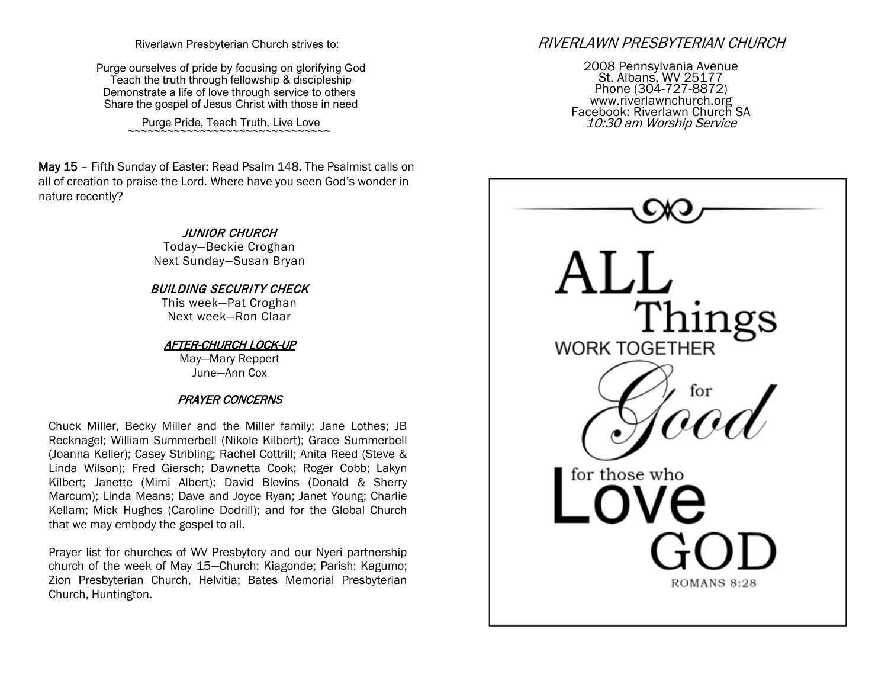Riverlawn Presbyterian Church strives to:

Purge ourselves of pride by focusing on glorifying God Teach the truth through fellowship & discipleship Demonstrate a life of love through service to others Share the gospel of Jesus Christ with those in need

Purge Pride, Teach Truth, Live Love

May 15 - Fifth Sunday of Easter: Read Psalm 148. The Psalmist calls on all of creation to praise the Lord. Where have you seen God's wonder in nature recently?

> JUNIOR CHURCH Today-Beckie Croghan Next Sunday-Susan Bryan

BUILDING SECURITY CHECK This week-Pat Croghan Next week-Ron Claar

AFTER-CHURCH LOCK-UP May-Mary Reppert June-Ann Cox

## PRAYER CONCERNS

Chuck Miller, Becky Miller and the Miller family; Jane Lothes; JB Recknagel; William Summerbell (Nikole Kilbert); Grace Summerbell (Joanna Keller); Casey Stribling; Rachel Cottrill; Anita Reed (Steve & Linda Wilson); Fred Giersch; Dawnetta Cook; Roger Cobb; Lakyn Kilbert; Janette (Mimi Albert); David Blevins (Donald & Sherry Marcum); Linda Means; Dave and Joyce Ryan; Janet Young; Charlie Kellam; Mick Hughes (Caroline Dodrill); and for the Global Church that we may embody the gospel to all.

Prayer list for churches of WV Presbytery and our Nyeri partnership church of the week of May 15-Church: Kiagonde; Parish: Kagumo; Zion Presbyterian Church, Helvitia; Bates Memorial Presbyterian Church, Huntington.

# RIVERLAWN PRESBYTERIAN CHURCH

2008 Pennsylvania Avenue St. Albans, WV 25177 Phone (304-727-8872) www.riverlawnchurch.org Facebook: Riverlawn Church SA 10:30 am Worship Service